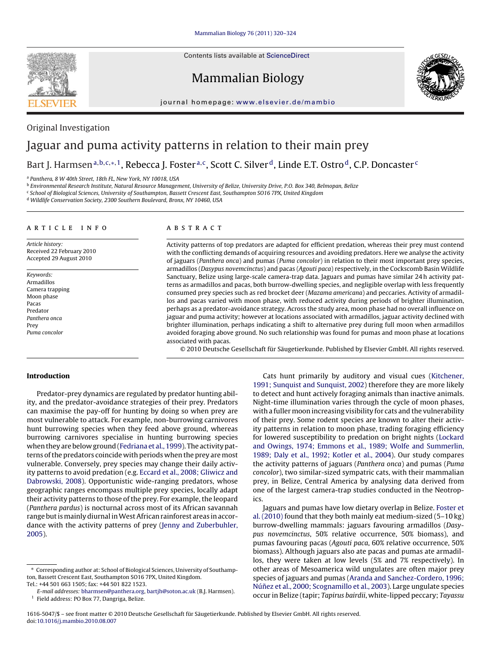Contents lists available at [ScienceDirect](http://www.sciencedirect.com/science/journal/16165047)

# Mammalian Biology



journal homepage: [www.elsevier.de/mambio](http://www.elsevier.de/mambio)

# Original Investigation

# Jaguar and puma activity patterns in relation to their main prey

Bart J. Harmsen<sup>a,b,c,∗,1</sup>, Rebecca J. Foster<sup>a,c</sup>, Scott C. Silver<sup>d</sup>, Linde E.T. Ostro<sup>d</sup>, C.P. Doncaster<sup>c</sup>

<sup>a</sup> Panthera, 8 W 40th Street, 18th FL, New York, NY 10018, USA

<sup>b</sup> Environmental Research Institute, Natural Resource Management, University of Belize, University Drive, P.O. Box 340, Belmopan, Belize

<sup>c</sup> School of Biological Sciences, University of Southampton, Bassett Crescent East, Southampton SO16 7PX, United Kingdom

<sup>d</sup> Wildlife Conservation Society, 2300 Southern Boulevard, Bronx, NY 10460, USA

### article info

Article history: Received 22 February 2010 Accepted 29 August 2010

Keywords: Armadillos Camera trapping Moon phase Pacas Predator Panthera onca Prey Puma concolor

### abstract

Activity patterns of top predators are adapted for efficient predation, whereas their prey must contend with the conflicting demands of acquiring resources and avoiding predators. Here we analyse the activity of jaguars (Panthera onca) and pumas (Puma concolor) in relation to their most important prey species, armadillos (Dasypus novemcinctus) and pacas (Agouti paca) respectively, in the Cockscomb Basin Wildlife Sanctuary, Belize using large-scale camera-trap data. Jaguars and pumas have similar 24 h activity patterns as armadillos and pacas, both burrow-dwelling species, and negligible overlap with less frequently consumed prey species such as red brocket deer (Mazama americana) and peccaries. Activity of armadillos and pacas varied with moon phase, with reduced activity during periods of brighter illumination, perhaps as a predator-avoidance strategy. Across the study area, moon phase had no overall influence on jaguar and puma activity; however at locations associated with armadillos, jaguar activity declined with brighter illumination, perhaps indicating a shift to alternative prey during full moon when armadillos avoided foraging above ground. No such relationship was found for pumas and moon phase at locations associated with pacas.

© 2010 Deutsche Gesellschaft für Säugetierkunde. Published by Elsevier GmbH. All rights reserved.

#### **Introduction**

Predator-prey dynamics are regulated by predator hunting ability, and the predator-avoidance strategies of their prey. Predators can maximise the pay-off for hunting by doing so when prey are most vulnerable to attack. For example, non-burrowing carnivores hunt burrowing species when they feed above ground, whereas burrowing carnivores specialise in hunting burrowing species when they are below ground ([Fedriana et al., 1999\).](#page-4-0) The activity patterns of the predators coincide with periods when the prey are most vulnerable. Conversely, prey species may change their daily activity patterns to avoid predation (e.g. [Eccard et al., 2008; Gliwicz and](#page-4-0) [Dabrowski, 2008\).](#page-4-0) Opportunistic wide-ranging predators, whose geographic ranges encompass multiple prey species, locally adapt their activity patterns to those of the prey. For example, the leopard (Panthera pardus) is nocturnal across most of its African savannah range but is mainly diurnal in West African rainforest areas in accordance with the activity patterns of prey ([Jenny and Zuberbuhler,](#page-4-0) [2005\).](#page-4-0)

Cats hunt primarily by auditory and visual cues ([Kitchener,](#page-4-0) [1991; Sunquist and Sunquist, 2002\)](#page-4-0) therefore they are more likely to detect and hunt actively foraging animals than inactive animals. Night-time illumination varies through the cycle of moon phases, with a fuller moon increasing visibility for cats and the vulnerability of their prey. Some rodent species are known to alter their activity patterns in relation to moon phase, trading foraging efficiency for lowered susceptibility to predation on bright nights ([Lockard](#page-4-0) [and Owings, 1974; Emmons et al., 1989; Wolfe and Summerlin,](#page-4-0) [1989; Daly et al., 1992; Kotler et al., 2004\).](#page-4-0) Our study compares the activity patterns of jaguars (Panthera onca) and pumas (Puma concolor), two similar-sized sympatric cats, with their mammalian prey, in Belize, Central America by analysing data derived from one of the largest camera-trap studies conducted in the Neotropics.

Jaguars and pumas have low dietary overlap in Belize. [Foster et](#page-4-0) [al. \(2010\)](#page-4-0) found that they both mainly eat medium-sized (5–10 kg) burrow-dwelling mammals: jaguars favouring armadillos (Dasypus novemcinctus, 50% relative occurrence, 50% biomass), and pumas favouring pacas (Agouti paca, 60% relative occurrence, 50% biomass). Although jaguars also ate pacas and pumas ate armadillos, they were taken at low levels (5% and 7% respectively). In other areas of Mesoamerica wild ungulates are often major prey species of jaguars and pumas ([Aranda and Sanchez-Cordero, 1996;](#page-4-0) Núñez et al., 2000; Scognamillo et al., 2003). Large ungulate species occur in Belize (tapir; Tapirus bairdii, white-lipped peccary; Tayassu



<sup>∗</sup> Corresponding author at: School of Biological Sciences, University of Southampton, Bassett Crescent East, Southampton SO16 7PX, United Kingdom. Tel.: +44 501 663 1505; fax: +44 501 822 1523.

E-mail addresses: [bharmsen@panthera.org,](mailto:bharmsen@panthera.org) [bartjh@soton.ac.uk](mailto:bartjh@soton.ac.uk) (B.J. Harmsen). <sup>1</sup> Field address: PO Box 77, Dangriga, Belize.

<sup>1616-5047/\$ –</sup> see front matter © 2010 Deutsche Gesellschaft für Säugetierkunde. Published by Elsevier GmbH. All rights reserved. doi:[10.1016/j.mambio.2010.08.007](dx.doi.org/10.1016/j.mambio.2010.08.007)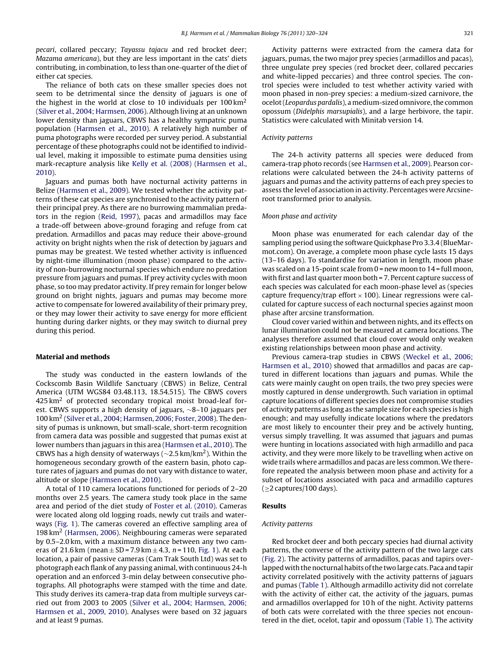pecari, collared peccary; Tayassu tajacu and red brocket deer; Mazama americana), but they are less important in the cats' diets contributing, in combination, to less than one-quarter of the diet of either cat species.

The reliance of both cats on these smaller species does not seem to be detrimental since the density of jaguars is one of the highest in the world at close to 10 individuals per  $100 \text{ km}^2$ ([Silver et al., 2004; Harmsen, 2006\).](#page-4-0) Although living at an unknown lower density than jaguars, CBWS has a healthy sympatric puma population [\(Harmsen et al., 2010\).](#page-4-0) A relatively high number of puma photographs were recorded per survey period. A substantial percentage of these photographs could not be identified to individual level, making it impossible to estimate puma densities using mark-recapture analysis like [Kelly et al. \(2008\)](#page-4-0) ([Harmsen et al.,](#page-4-0) [2010\).](#page-4-0)

Jaguars and pumas both have nocturnal activity patterns in Belize ([Harmsen et al., 2009\).](#page-4-0) We tested whether the activity patterns of these cat species are synchronised to the activity pattern of their principal prey. As there are no burrowing mammalian predators in the region [\(Reid, 1997\),](#page-4-0) pacas and armadillos may face a trade-off between above-ground foraging and refuge from cat predation. Armadillos and pacas may reduce their above-ground activity on bright nights when the risk of detection by jaguars and pumas may be greatest. We tested whether activity is influenced by night-time illumination (moon phase) compared to the activity of non-burrowing nocturnal species which endure no predation pressure from jaguars and pumas. If prey activity cycles with moon phase, so too may predator activity. If prey remain for longer below ground on bright nights, jaguars and pumas may become more active to compensate for lowered availability of their primary prey, or they may lower their activity to save energy for more efficient hunting during darker nights, or they may switch to diurnal prey during this period.

#### **Material and methods**

The study was conducted in the eastern lowlands of the Cockscomb Basin Wildlife Sanctuary (CBWS) in Belize, Central America (UTM WGS84 03.48.113, 18.54.515). The CBWS covers  $425 \text{ km}^2$  of protected secondary tropical moist broad-leaf forest. CBWS supports a high density of jaguars, ∼8–10 jaguars per 100 km2 [\(Silver et al., 2004; Harmsen, 2006; Foster, 2008\).](#page-4-0) The density of pumas is unknown, but small-scale, short-term recognition from camera data was possible and suggested that pumas exist at lower numbers than jaguars in this area ([Harmsen et al., 2010\).](#page-4-0) The CBWS has a high density of waterways ( $\sim$ 2.5 km/km<sup>2</sup>). Within the homogeneous secondary growth of the eastern basin, photo capture rates of jaguars and pumas do not vary with distance to water, altitude or slope [\(Harmsen et al., 2010\).](#page-4-0)

A total of 110 camera locations functioned for periods of 2–20 months over 2.5 years. The camera study took place in the same area and period of the diet study of [Foster et al. \(2010\). C](#page-4-0)ameras were located along old logging roads, newly cut trails and waterways [\(Fig. 1\).](#page-2-0) The cameras covered an effective sampling area of 198 km2 [\(Harmsen, 2006\).](#page-4-0) Neighbouring cameras were separated by 0.5–2.0 km, with a maximum distance between any two cameras of 21.6 km (mean  $\pm$  SD = 7.9 km  $\pm$  4.3, n = 110, [Fig. 1\).](#page-2-0) At each location, a pair of passive cameras (Cam Trak South Ltd) was set to photograph each flank of any passing animal, with continuous 24-h operation and an enforced 3-min delay between consecutive photographs. All photographs were stamped with the time and date. This study derives its camera-trap data from multiple surveys carried out from 2003 to 2005 ([Silver et al., 2004; Harmsen, 2006;](#page-4-0) [Harmsen et al., 2009, 2010\).](#page-4-0) Analyses were based on 32 jaguars and at least 9 pumas.

Activity patterns were extracted from the camera data for jaguars, pumas, the two major prey species (armadillos and pacas), three ungulate prey species (red brocket deer, collared peccaries and white-lipped peccaries) and three control species. The control species were included to test whether activity varied with moon phased in non-prey species: a medium-sized carnivore, the ocelot (Leopardus pardalis), amedium-sized omnivore, the common opossum (Didelphis marsupialis), and a large herbivore, the tapir. Statistics were calculated with Minitab version 14.

#### Activity patterns

The 24-h activity patterns all species were deduced from camera-trap photo records (see [Harmsen et al., 2009\).](#page-4-0) Pearson correlations were calculated between the 24-h activity patterns of jaguars and pumas and the activity patterns of each prey species to assess the level of association in activity. Percentages were Arcsineroot transformed prior to analysis.

#### Moon phase and activity

Moon phase was enumerated for each calendar day of the sampling period using the software Quickphase Pro 3.3.4 (BlueMarmot.com). On average, a complete moon phase cycle lasts 15 days (13–16 days). To standardise for variation in length, moon phase was scaled on a 15-point scale from 0 = new moon to 14 = full moon, with first and last quarter moon both = 7. Percent capture success of each species was calculated for each moon-phase level as (species capture frequency/trap effort  $\times$  100). Linear regressions were calculated for capture success of each nocturnal species against moon phase after arcsine transformation.

Cloud cover varied within and between nights, and its effects on lunar illumination could not be measured at camera locations. The analyses therefore assumed that cloud cover would only weaken existing relationships between moon phase and activity.

Previous camera-trap studies in CBWS ([Weckel et al., 2006;](#page-4-0) [Harmsen et al., 2010\)](#page-4-0) showed that armadillos and pacas are captured in different locations than jaguars and pumas. While the cats were mainly caught on open trails, the two prey species were mostly captured in dense undergrowth. Such variation in optimal capture locations of different species does not compromise studies of activity patterns as long as the sample size for each species is high enough; and may usefully indicate locations where the predators are most likely to encounter their prey and be actively hunting, versus simply travelling. It was assumed that jaguars and pumas were hunting in locations associated with high armadillo and paca activity, and they were more likely to be travelling when active on wide trails where armadillos and pacas are less common. We therefore repeated the analysis between moon phase and activity for a subset of locations associated with paca and armadillo captures  $(≥2$  captures/100 days).

#### **Results**

#### Activity patterns

Red brocket deer and both peccary species had diurnal activity patterns, the converse of the activity pattern of the two large cats [\(Fig. 2\).](#page-3-0) The activity patterns of armadillos, pacas and tapirs overlapped with the nocturnal habits of the two large cats. Paca and tapir activity correlated positively with the activity patterns of jaguars and pumas [\(Table 1\).](#page-2-0) Although armadillo activity did not correlate with the activity of either cat, the activity of the jaguars, pumas and armadillos overlapped for 10 h of the night. Activity patterns of both cats were correlated with the three species not encountered in the diet, ocelot, tapir and opossum ([Table 1\).](#page-2-0) The activity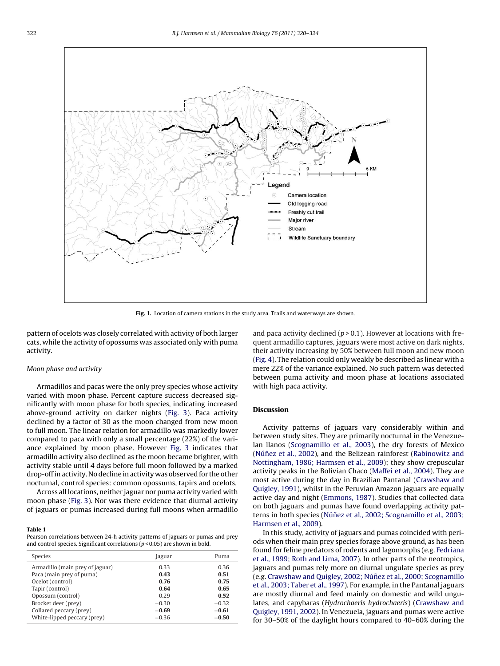<span id="page-2-0"></span>

**Fig. 1.** Location of camera stations in the study area. Trails and waterways are shown.

pattern of ocelots was closely correlated with activity of both larger cats, while the activity of opossums was associated only with puma activity.

## Moon phase and activity

Armadillos and pacas were the only prey species whose activity varied with moon phase. Percent capture success decreased significantly with moon phase for both species, indicating increased above-ground activity on darker nights [\(Fig. 3\)](#page-3-0). Paca activity declined by a factor of 30 as the moon changed from new moon to full moon. The linear relation for armadillo was markedly lower compared to paca with only a small percentage (22%) of the variance explained by moon phase. However [Fig. 3](#page-3-0) indicates that armadillo activity also declined as the moon became brighter, with activity stable until 4 days before full moon followed by a marked drop-off in activity. No decline in activity was observed for the other nocturnal, control species: common opossums, tapirs and ocelots.

Across all locations, neither jaguar nor puma activity varied with moon phase ([Fig. 3\).](#page-3-0) Nor was there evidence that diurnal activity of jaguars or pumas increased during full moons when armadillo

#### **Table 1**

Pearson correlations between 24-h activity patterns of jaguars or pumas and prey and control species. Significant correlations ( $p$  < 0.05) are shown in bold.

| <b>Species</b>                  | Jaguar  | Puma    |
|---------------------------------|---------|---------|
| Armadillo (main prey of jaguar) | 0.33    | 0.36    |
| Paca (main prey of puma)        | 0.43    | 0.51    |
| Ocelot (control)                | 0.76    | 0.75    |
| Tapir (control)                 | 0.64    | 0.65    |
| Opossum (control)               | 0.29    | 0.52    |
| Brocket deer (prey)             | $-0.30$ | $-0.32$ |
| Collared peccary (prey)         | $-0.69$ | $-0.61$ |
| White-lipped peccary (prey)     | $-0.36$ | $-0.50$ |

and paca activity declined ( $p > 0.1$ ). However at locations with frequent armadillo captures, jaguars were most active on dark nights, their activity increasing by 50% between full moon and new moon [\(Fig. 4\).](#page-3-0) The relation could only weakly be described as linear with a mere 22% of the variance explained. No such pattern was detected between puma activity and moon phase at locations associated with high paca activity.

#### **Discussion**

Activity patterns of jaguars vary considerably within and between study sites. They are primarily nocturnal in the Venezuelan llanos ([Scognamillo et al., 2003\),](#page-4-0) the dry forests of Mexico (Núñez et al., 2002), and the Belizean rainforest ([Rabinowitz and](#page-4-0) [Nottingham, 1986; Harmsen et al., 2009\);](#page-4-0) they show crepuscular activity peaks in the Bolivian Chaco [\(Maffei et al., 2004\).](#page-4-0) They are most active during the day in Brazilian Pantanal ([Crawshaw and](#page-4-0) [Quigley, 1991\),](#page-4-0) whilst in the Peruvian Amazon jaguars are equally active day and night ([Emmons, 1987\).](#page-4-0) Studies that collected data on both jaguars and pumas have found overlapping activity patterns in both species (Núñez et al., 2002; Scognamillo et al., 2003; [Harmsen et al., 2009\).](#page-4-0)

In this study, activity of jaguars and pumas coincided with periods when their main prey species forage above ground, as has been found for feline predators of rodents and lagomorphs (e.g. [Fedriana](#page-4-0) [et al., 1999; Roth and Lima, 2007\).](#page-4-0) In other parts of the neotropics, jaguars and pumas rely more on diurnal ungulate species as prey (e.g. Crawshaw and Quigley, 2002; Núñez et al., 2000; Scognamillo [et al., 2003; Taber et al., 1997\).](#page-4-0) For example, in the Pantanal jaguars are mostly diurnal and feed mainly on domestic and wild ungulates, and capybaras (Hydrochaeris hydrochaeris) [\(Crawshaw and](#page-4-0) [Quigley, 1991, 2002\).](#page-4-0) In Venezuela, jaguars and pumas were active for 30–50% of the daylight hours compared to 40–60% during the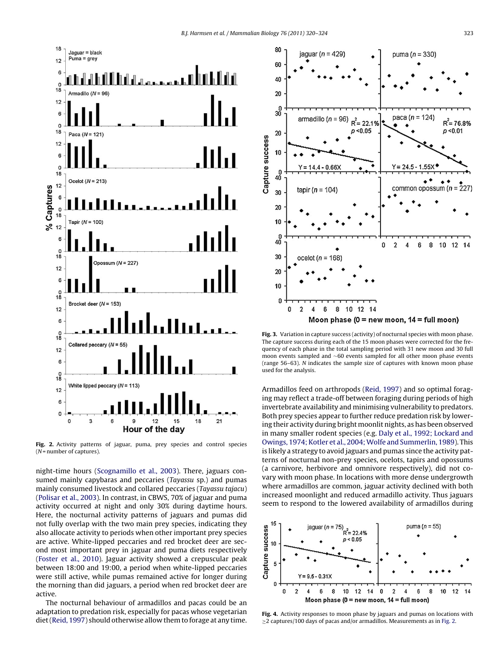<span id="page-3-0"></span>

**Fig. 2.** Activity patterns of jaguar, puma, prey species and control species  $(N =$ number of captures).

night-time hours ([Scognamillo et al., 2003\).](#page-4-0) There, jaguars consumed mainly capybaras and peccaries (Tayassu sp.) and pumas mainly consumed livestock and collared peccaries (Tayassu tajacu) ([Polisar et al., 2003\).](#page-4-0) In contrast, in CBWS, 70% of jaguar and puma activity occurred at night and only 30% during daytime hours. Here, the nocturnal activity patterns of jaguars and pumas did not fully overlap with the two main prey species, indicating they also allocate activity to periods when other important prey species are active. White-lipped peccaries and red brocket deer are second most important prey in jaguar and puma diets respectively ([Foster et al., 2010\).](#page-4-0) Jaguar activity showed a crepuscular peak between 18:00 and 19:00, a period when white-lipped peccaries were still active, while pumas remained active for longer during the morning than did jaguars, a period when red brocket deer are active.

The nocturnal behaviour of armadillos and pacas could be an adaptation to predation risk, especially for pacas whose vegetarian diet [\(Reid, 1997\) s](#page-4-0)hould otherwise allow them to forage at any time.



**Fig. 3.** Variation in capture success (activity) of nocturnal species with moon phase. The capture success during each of the 15 moon phases were corrected for the frequency of each phase in the total sampling period with 31 new moon and 30 full moon events sampled and ∼60 events sampled for all other moon phase events (range 56–63). N indicates the sample size of captures with known moon phase used for the analysis.

Armadillos feed on arthropods [\(Reid, 1997\)](#page-4-0) and so optimal foraging may reflect a trade-off between foraging during periods of high invertebrate availability and minimising vulnerability to predators. Both prey species appear to further reduce predation risk by lowering their activity during bright moonlit nights, as has been observed in many smaller rodent species (e.g. [Daly et al., 1992; Lockard and](#page-4-0) Owings, 1974; Kotler et al., 2004; Wolfe and Summerlin, 1989). This is likely a strategy to avoid jaguars and pumas since the activity patterns of nocturnal non-prey species, ocelots, tapirs and opossums (a carnivore, herbivore and omnivore respectively), did not covary with moon phase. In locations with more dense undergrowth where armadillos are common, jaguar activity declined with both increased moonlight and reduced armadillo activity. Thus jaguars seem to respond to the lowered availability of armadillos during



**Fig. 4.** Activity responses to moon phase by jaguars and pumas on locations with ≥2 captures/100 days of pacas and/or armadillos. Measurements as in Fig. 2.